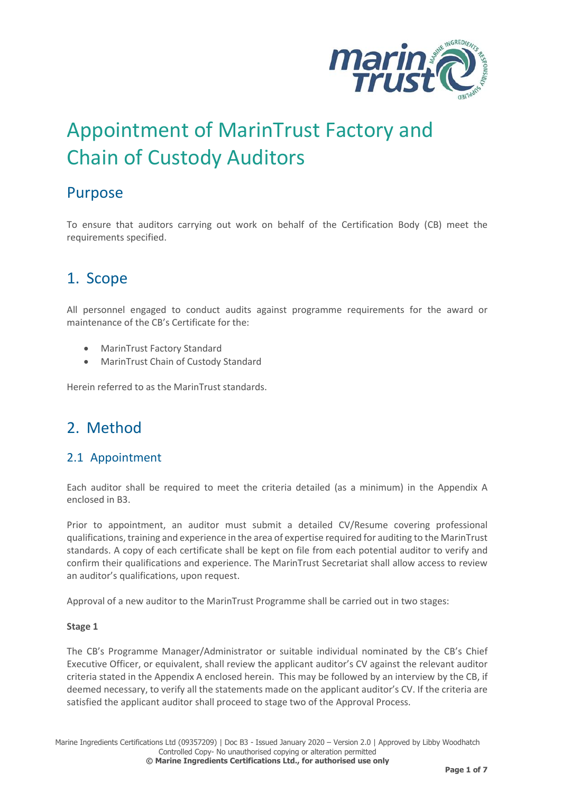

# Appointment of MarinTrust Factory and Chain of Custody Auditors

### Purpose

To ensure that auditors carrying out work on behalf of the Certification Body (CB) meet the requirements specified.

### 1. Scope

All personnel engaged to conduct audits against programme requirements for the award or maintenance of the CB's Certificate for the:

- MarinTrust Factory Standard
- MarinTrust Chain of Custody Standard

Herein referred to as the MarinTrust standards.

### 2. Method

### 2.1 Appointment

Each auditor shall be required to meet the criteria detailed (as a minimum) in the Appendix A enclosed in B3.

Prior to appointment, an auditor must submit a detailed CV/Resume covering professional qualifications, training and experience in the area of expertise required for auditing to the MarinTrust standards. A copy of each certificate shall be kept on file from each potential auditor to verify and confirm their qualifications and experience. The MarinTrust Secretariat shall allow access to review an auditor's qualifications, upon request.

Approval of a new auditor to the MarinTrust Programme shall be carried out in two stages:

#### **Stage 1**

The CB's Programme Manager/Administrator or suitable individual nominated by the CB's Chief Executive Officer, or equivalent, shall review the applicant auditor's CV against the relevant auditor criteria stated in the Appendix A enclosed herein. This may be followed by an interview by the CB, if deemed necessary, to verify all the statements made on the applicant auditor's CV. If the criteria are satisfied the applicant auditor shall proceed to stage two of the Approval Process.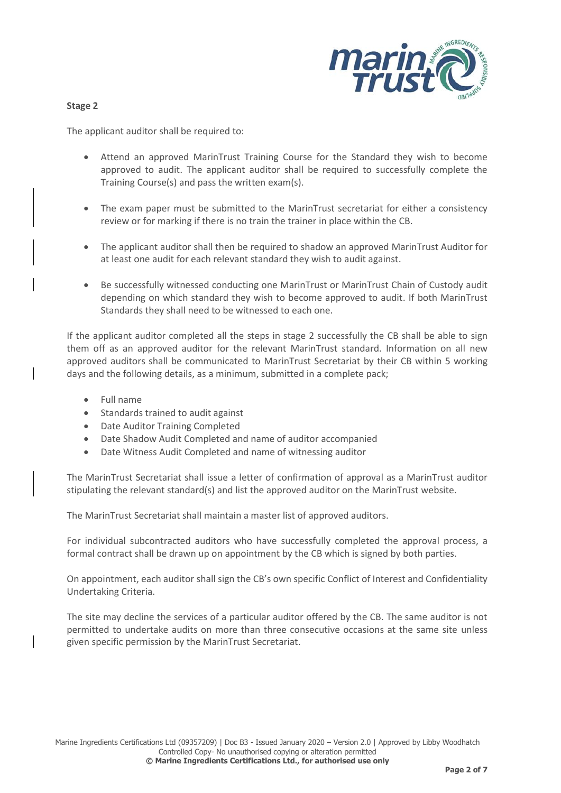

#### **Stage 2**

The applicant auditor shall be required to:

- Attend an approved MarinTrust Training Course for the Standard they wish to become approved to audit. The applicant auditor shall be required to successfully complete the Training Course(s) and pass the written exam(s).
- The exam paper must be submitted to the MarinTrust secretariat for either a consistency review or for marking if there is no train the trainer in place within the CB.
- The applicant auditor shall then be required to shadow an approved MarinTrust Auditor for at least one audit for each relevant standard they wish to audit against.
- Be successfully witnessed conducting one MarinTrust or MarinTrust Chain of Custody audit depending on which standard they wish to become approved to audit. If both MarinTrust Standards they shall need to be witnessed to each one.

If the applicant auditor completed all the steps in stage 2 successfully the CB shall be able to sign them off as an approved auditor for the relevant MarinTrust standard. Information on all new approved auditors shall be communicated to MarinTrust Secretariat by their CB within 5 working days and the following details, as a minimum, submitted in a complete pack;

- Full name
- Standards trained to audit against
- Date Auditor Training Completed
- Date Shadow Audit Completed and name of auditor accompanied
- Date Witness Audit Completed and name of witnessing auditor

The MarinTrust Secretariat shall issue a letter of confirmation of approval as a MarinTrust auditor stipulating the relevant standard(s) and list the approved auditor on the MarinTrust website.

The MarinTrust Secretariat shall maintain a master list of approved auditors.

For individual subcontracted auditors who have successfully completed the approval process, a formal contract shall be drawn up on appointment by the CB which is signed by both parties.

On appointment, each auditor shall sign the CB's own specific Conflict of Interest and Confidentiality Undertaking Criteria.

The site may decline the services of a particular auditor offered by the CB. The same auditor is not permitted to undertake audits on more than three consecutive occasions at the same site unless given specific permission by the MarinTrust Secretariat.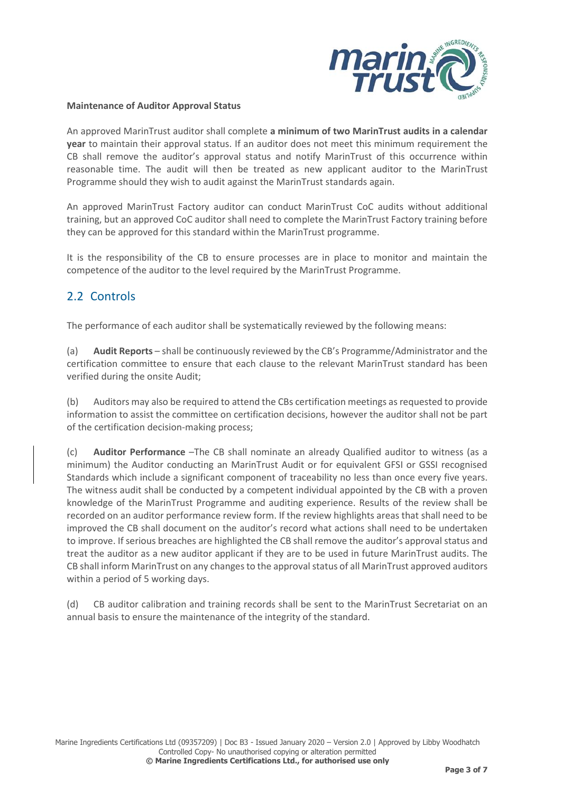

#### **Maintenance of Auditor Approval Status**

An approved MarinTrust auditor shall complete **a minimum of two MarinTrust audits in a calendar year** to maintain their approval status. If an auditor does not meet this minimum requirement the CB shall remove the auditor's approval status and notify MarinTrust of this occurrence within reasonable time. The audit will then be treated as new applicant auditor to the MarinTrust Programme should they wish to audit against the MarinTrust standards again.

An approved MarinTrust Factory auditor can conduct MarinTrust CoC audits without additional training, but an approved CoC auditor shall need to complete the MarinTrust Factory training before they can be approved for this standard within the MarinTrust programme.

It is the responsibility of the CB to ensure processes are in place to monitor and maintain the competence of the auditor to the level required by the MarinTrust Programme.

### 2.2 Controls

The performance of each auditor shall be systematically reviewed by the following means:

(a) **Audit Reports** – shall be continuously reviewed by the CB's Programme/Administrator and the certification committee to ensure that each clause to the relevant MarinTrust standard has been verified during the onsite Audit;

(b) Auditors may also be required to attend the CBs certification meetings as requested to provide information to assist the committee on certification decisions, however the auditor shall not be part of the certification decision-making process;

(c) **Auditor Performance** –The CB shall nominate an already Qualified auditor to witness (as a minimum) the Auditor conducting an MarinTrust Audit or for equivalent GFSI or GSSI recognised Standards which include a significant component of traceability no less than once every five years. The witness audit shall be conducted by a competent individual appointed by the CB with a proven knowledge of the MarinTrust Programme and auditing experience. Results of the review shall be recorded on an auditor performance review form. If the review highlights areas that shall need to be improved the CB shall document on the auditor's record what actions shall need to be undertaken to improve. If serious breaches are highlighted the CB shall remove the auditor's approval status and treat the auditor as a new auditor applicant if they are to be used in future MarinTrust audits. The CB shall inform MarinTrust on any changes to the approval status of all MarinTrust approved auditors within a period of 5 working days.

(d) CB auditor calibration and training records shall be sent to the MarinTrust Secretariat on an annual basis to ensure the maintenance of the integrity of the standard.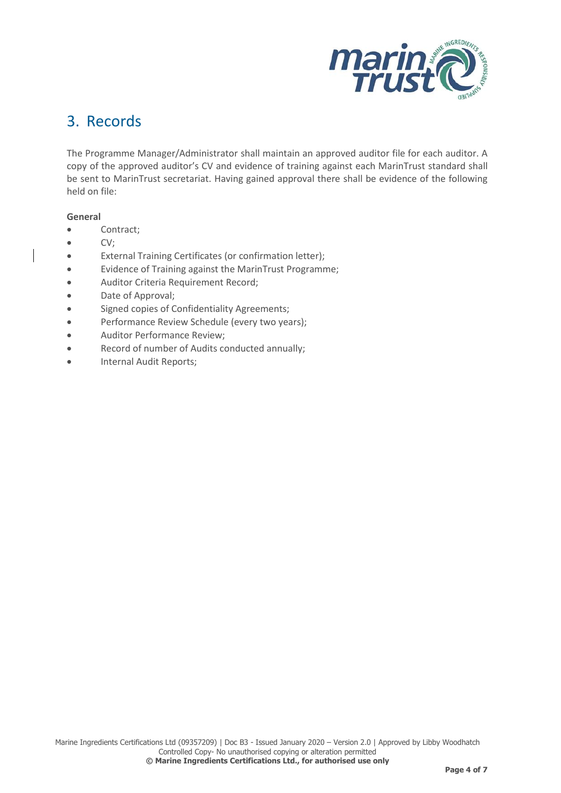

### 3. Records

The Programme Manager/Administrator shall maintain an approved auditor file for each auditor. A copy of the approved auditor's CV and evidence of training against each MarinTrust standard shall be sent to MarinTrust secretariat. Having gained approval there shall be evidence of the following held on file:

#### **General**

- Contract;
- CV;
- External Training Certificates (or confirmation letter);
- Evidence of Training against the MarinTrust Programme;
- Auditor Criteria Requirement Record;
- Date of Approval;
- Signed copies of Confidentiality Agreements;
- Performance Review Schedule (every two years);
- Auditor Performance Review;
- Record of number of Audits conducted annually;
- Internal Audit Reports;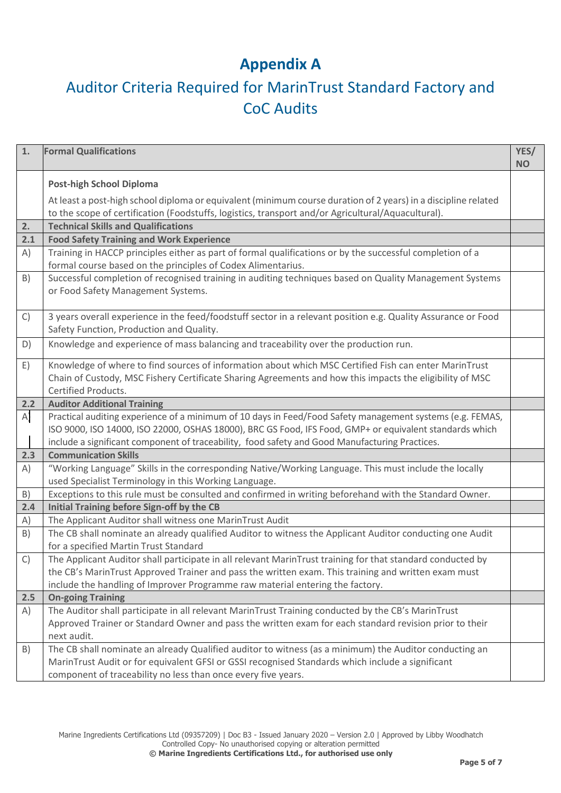### **Appendix A**

# Auditor Criteria Required for MarinTrust Standard Factory and CoC Audits

| 1.           | <b>Formal Qualifications</b>                                                                                                                                                                                                                                                                                           | YES/<br><b>NO</b> |  |  |  |
|--------------|------------------------------------------------------------------------------------------------------------------------------------------------------------------------------------------------------------------------------------------------------------------------------------------------------------------------|-------------------|--|--|--|
|              | <b>Post-high School Diploma</b>                                                                                                                                                                                                                                                                                        |                   |  |  |  |
|              | At least a post-high school diploma or equivalent (minimum course duration of 2 years) in a discipline related<br>to the scope of certification (Foodstuffs, logistics, transport and/or Agricultural/Aquacultural).                                                                                                   |                   |  |  |  |
| 2.           | <b>Technical Skills and Qualifications</b>                                                                                                                                                                                                                                                                             |                   |  |  |  |
| 2.1          | <b>Food Safety Training and Work Experience</b>                                                                                                                                                                                                                                                                        |                   |  |  |  |
| A)           | Training in HACCP principles either as part of formal qualifications or by the successful completion of a<br>formal course based on the principles of Codex Alimentarius.                                                                                                                                              |                   |  |  |  |
| B)           | Successful completion of recognised training in auditing techniques based on Quality Management Systems<br>or Food Safety Management Systems.                                                                                                                                                                          |                   |  |  |  |
| $\mathsf{C}$ | 3 years overall experience in the feed/foodstuff sector in a relevant position e.g. Quality Assurance or Food<br>Safety Function, Production and Quality.                                                                                                                                                              |                   |  |  |  |
| D)           | Knowledge and experience of mass balancing and traceability over the production run.                                                                                                                                                                                                                                   |                   |  |  |  |
| E)           | Knowledge of where to find sources of information about which MSC Certified Fish can enter MarinTrust<br>Chain of Custody, MSC Fishery Certificate Sharing Agreements and how this impacts the eligibility of MSC<br>Certified Products.                                                                               |                   |  |  |  |
| 2.2          | <b>Auditor Additional Training</b>                                                                                                                                                                                                                                                                                     |                   |  |  |  |
| $\mathsf{A}$ | Practical auditing experience of a minimum of 10 days in Feed/Food Safety management systems (e.g. FEMAS,<br>ISO 9000, ISO 14000, ISO 22000, OSHAS 18000), BRC GS Food, IFS Food, GMP+ or equivalent standards which<br>include a significant component of traceability, food safety and Good Manufacturing Practices. |                   |  |  |  |
| 2.3          | <b>Communication Skills</b>                                                                                                                                                                                                                                                                                            |                   |  |  |  |
| A)           | "Working Language" Skills in the corresponding Native/Working Language. This must include the locally<br>used Specialist Terminology in this Working Language.                                                                                                                                                         |                   |  |  |  |
| B)           | Exceptions to this rule must be consulted and confirmed in writing beforehand with the Standard Owner.                                                                                                                                                                                                                 |                   |  |  |  |
| 2.4          | Initial Training before Sign-off by the CB                                                                                                                                                                                                                                                                             |                   |  |  |  |
| A)           | The Applicant Auditor shall witness one MarinTrust Audit                                                                                                                                                                                                                                                               |                   |  |  |  |
| B)           | The CB shall nominate an already qualified Auditor to witness the Applicant Auditor conducting one Audit<br>for a specified Martin Trust Standard                                                                                                                                                                      |                   |  |  |  |
| $\mathsf{C}$ | The Applicant Auditor shall participate in all relevant MarinTrust training for that standard conducted by<br>the CB's MarinTrust Approved Trainer and pass the written exam. This training and written exam must<br>include the handling of Improver Programme raw material entering the factory.                     |                   |  |  |  |
| 2.5          | <b>On-going Training</b>                                                                                                                                                                                                                                                                                               |                   |  |  |  |
| A)           | The Auditor shall participate in all relevant MarinTrust Training conducted by the CB's MarinTrust<br>Approved Trainer or Standard Owner and pass the written exam for each standard revision prior to their<br>next audit.                                                                                            |                   |  |  |  |
| B)           | The CB shall nominate an already Qualified auditor to witness (as a minimum) the Auditor conducting an<br>MarinTrust Audit or for equivalent GFSI or GSSI recognised Standards which include a significant<br>component of traceability no less than once every five years.                                            |                   |  |  |  |